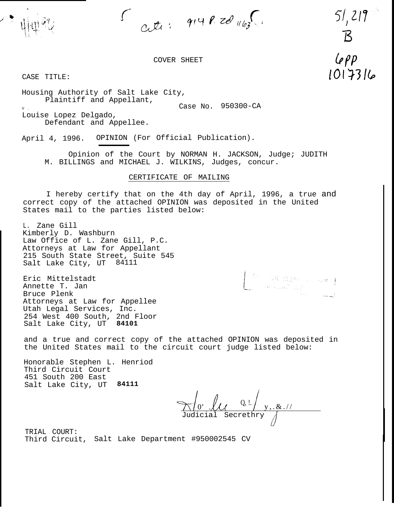$\int_{C_{1}}^{C_{2}} f(x,y) \, dx \, dy \, dx \, dy \, dy$ 

 $51, 219$ 

 $\mathcal{B}$ 

 $Lepp$ 

1017316

COVER SHEET

CASE TITLE:

Housing Authority of Salt Lake City, Plaintiff and Appellant, v . 21 Case No. 950300-CA Louise Lopez Delgado, Defendant and Appellee.

April 4, 1996. OPINION (For Official Publication).

Opinion of the Court by NORMAN H. JACKSON, Judge; JUDITH M. BILLINGS and MICHAEL J. WILKINS, Judges, concur.

## CERTIFICATE OF MAILING

I hereby certify that on the 4th day of April, 1996, a true and correct copy of the attached OPINION was deposited in the United States mail to the parties listed below:

L. Zane Gill Kimberly D. Washburn Law Office of L. Zane Gill, P.C. Attorneys at Law for Appellant 215 South State Street, Suite 545 Salt Lake City, UT 84111

Eric Mittelstadt Annette T. Jan Bruce Plenk Attorneys at Law for Appellee Utah Legal Services, Inc. 254 West 400 South, 2nd Floor Salt Lake City, UT **84101**

and a true and correct copy of the attached OPINION was deposited in the United States mail to the circuit court judge listed below:

Honorable Stephen L. Henriod Third Circuit Court 451 South 200 East Salt Lake City, UT **84111**

 $\frac{0}{10}$  .  $\frac{1}{2}$  .  $\frac{1}{2}$  .  $\frac{1}{2}$  .  $\frac{1}{2}$  .  $\frac{1}{2}$  .  $\frac{1}{2}$ Judicial Secrethry

 $\begin{cases} \begin{array}{c} \mathcal{L}_{\text{max}} \\ \mathcal{L}_{\text{max}} \end{array} & \mathcal{L}_{\text{max}} \left( \frac{1}{2} \sum_{i=1}^{2} \mathcal{L}_{\text{max}} \right) \\ \mathcal{L}_{\text{max}} \left( \frac{1}{2} \sum_{i=1}^{2} \mathcal{L}_{\text{max}} \right) & \mathcal{L}_{\text{max}} \left( \frac{1}{2} \right) \\ \mathcal{L}_{\text{max}} \left( \frac{1}{2} \sum_{i=1}^{2} \mathcal{L}_{\text{max}} \right) & \mathcal{L}_{\text{max}} \left( \frac$ 

TRIAL COURT: Third Circuit, Salt Lake Department #950002545 CV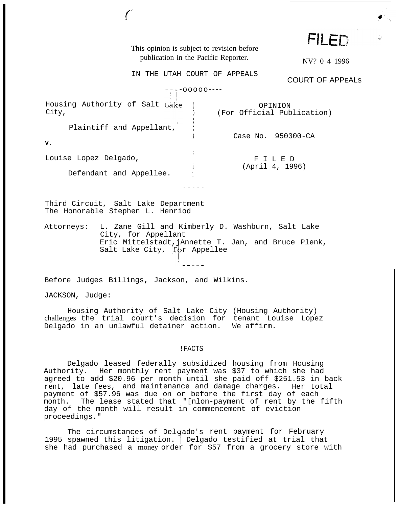|                                                                         | This opinion is subject to revision before<br>publication in the Pacific Reporter.                                                                                        |  |                              | <b>FILED</b><br>NV? 0 4 1996          |  |
|-------------------------------------------------------------------------|---------------------------------------------------------------------------------------------------------------------------------------------------------------------------|--|------------------------------|---------------------------------------|--|
|                                                                         |                                                                                                                                                                           |  | IN THE UTAH COURT OF APPEALS | <b>COURT OF APPEALS</b>               |  |
| $-00000--$                                                              |                                                                                                                                                                           |  |                              |                                       |  |
| City,                                                                   | Housing Authority of Salt Lake                                                                                                                                            |  |                              | OPINION<br>(For Official Publication) |  |
| v.                                                                      | Plaintiff and Appellant,                                                                                                                                                  |  |                              | Case No. 950300-CA                    |  |
| Louise Lopez Delgado,<br>Defendant and Appellee.                        |                                                                                                                                                                           |  |                              | FILED<br>(April 4, 1996)              |  |
|                                                                         |                                                                                                                                                                           |  |                              |                                       |  |
| Third Circuit, Salt Lake Department<br>The Honorable Stephen L. Henriod |                                                                                                                                                                           |  |                              |                                       |  |
|                                                                         | Attorneys: L. Zane Gill and Kimberly D. Washburn, Salt Lake<br>City, for Appellant<br>Eric Mittelstadt, jAnnette T. Jan, and Bruce Plenk,<br>Salt Lake City, for Appellee |  |                              |                                       |  |
| Before Judges Billings, Jackson, and Wilkins.                           |                                                                                                                                                                           |  |                              |                                       |  |

JACKSON, Judge:

Housing Authority of Salt Lake City (Housing Authority) challenges the trial court's decision for tenant Louise Lopez Delgado in an unlawful detainer action. We affirm.

!FACTS

Delgado leased federally subsidized housing from Housing Authority. Her monthly rent payment was \$37 to which she had agreed to add \$20.96 per month until she paid off \$251.53 in back rent, late fees, and maintenance and damage charges. Her total payment of \$57.96 was due on or before the first day of each month. The lease stated that "[nlon-payment of rent by the fifth day of the month will result in commencement of eviction proceedings."

The circumstances of Delgado's rent payment for February 1995 spawned this litigation. Delgado testified at trial that she had purchased a money order for \$57 from a grocery store with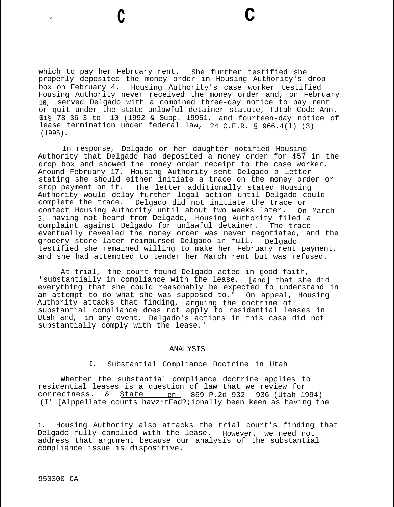which to pay her February rent. She further testified she properly deposited the money order in Housing Authority's drop box on February 4. Housing Authority's case worker testified Housing Authority never received the money order and, on February 10, served Delgado with a combined three-day notice to pay rent or quit under the state unlawful detainer statute, TJtah Code Ann. \$i§ 78-36-3 to -10 (1992 & Supp. 19951, and fourteen-day notice of lease termination under federal law, 24 C.F.R. § 966.4(l) (3) (1995).

**<sup>c</sup> c**

In response, Delgado or her daughter notified Housing Authority that Delgado had deposited a money order for \$57 in the drop box and showed the money order receipt to the case worker. Around February 17, Housing Authority sent Delgado a letter stating she should either initiate a trace on the money order or stop payment on it. The letter additionally stated Housing Authority would delay further legal action until Delgado could complete the trace. Delgado did not initiate the trace or contact Housing Authority until about two weeks later. On March 3, having not heard from Delgado, Housing Authority filed a complaint against Delgado for unlawful detainer. The trace eventually revealed the money order was never negotiated, and the grocery store later reimbursed Delgado in full. Delgado testified she remained willing to make her February rent payment, and she had attempted to tender her March rent but was refused.

At trial, the court found Delgado acted in good faith, "substantially in compliance with the lease, [and] that she did everything that she could reasonably be expected to understand in an attempt to do what she was supposed to." On appeal, Housing Authority attacks that finding, arguing the doctrine of substantial compliance does not apply to residential leases in Utah and, in any event, Delgado's actions in this case did not substantially comply with the lease.'

## ANALYSIS

I. Substantial Compliance Doctrine in Utah

Whether the substantial compliance doctrine applies to residential leases is a question of law that we review for correctness.  $\&$  State en 869 P.2d 932 936 (Utah 1994) (I' [Alppellate courts havz\*tFad?;ionally been keen as having the

**1.** Housing Authority also attacks the trial court's finding that Delgado fully complied with the lease. However, we need not address that argument because our analysis of the substantial compliance issue is dispositive.

950300-CA

1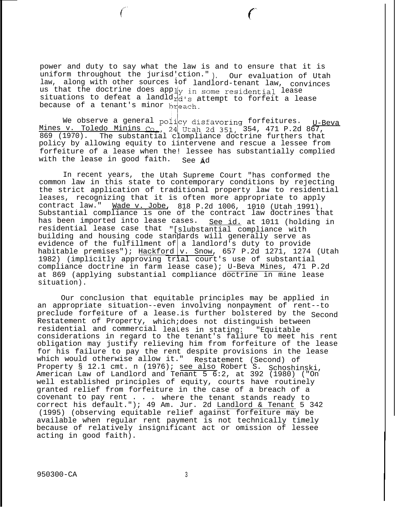power and duty to say what the law is and to ensure that it is uniform throughout the jurisd'ction." ). Our evaluation of Utah law, along with other sources iof landlord-tenant law, convinces us that the doctrine does apply in some residential lease  $s$ ituations to defeat a landld $r_d$ d's attempt to forfeit a lease because of a tenant's minor breach.

We observe a general  $\text{poly}$  disfavoring forfeitures. Mines v. Toledo Minins 354, 471 P.2d 867, U-Beva 869 (1970). The substantial clompliance doctrine furthers that policy by allowing equity to iintervene and rescue a lessee from forfeiture of a lease when the! lessee has substantially complied with the lease in good faith. See  $\dot{A}$ d

In recent years, the Utah Supreme Court "has conformed the common law in this state to contemporary conditions by rejecting the strict application of traditional property law to residential leases, recognizing that it is often more appropriate to apply contract law." Wade v. Jobe, 818 P.2d 1006, 1010 (Utah 1991). Substantial compliance is one of the contract law doctrines that has been imported into lease cases. residential lease case that "[slubstantial compliance with See id. at 1011 (holding in building and housing code standards will generally serve as evidence of the fulfillment of a landlord's duty to provide habitable premises");  $\frac{\text{Hackford}}{\text{v}}$ . Snow, 657 P.2d 1271, 1274 (Utah 1982) (implicitly approving trial court's use of substantial compliance doctrine in farm lease case); U-Beva Mines, 471 P.2d at 869 (applying substantial compliance doctrine in mine lease situation).

Our conclusion that equitable principles may be applied in an appropriate situation--even involving nonpayment of rent--to preclude forfeiture of a lease.is further bolstered by the Second Restatement of Property, which;does not distinguish between residential and commercial leaLes in stating: "Equitable considerations in regard to the tenant's failure to meet his rent obligation may justify relieving him from forfeiture of the lease for his failure to pay the rent despite provisions in the lease<br>which would otherwise allow it." Restatement (Second) of which would otherwise allow it." Restatement (Second) of Property § 12.1 cmt. n (1976); see also Robert S. Schoshinski, American Law of Landlord and Tenant 5 6:2, at 392 (1980) ("On well established principles of equity, courts have routinely granted relief from forfeiture in the case of a breach of a covenant to pay rent . . . where the tenant stands ready to correct his default."); 49 Am. Jur. 2d Landlord & Tenant 5 342 (1995) (observing equitable relief against forfeiture may be available when regular rent payment is not technically timely because of relatively insignificant act or omission of lessee acting in good faith).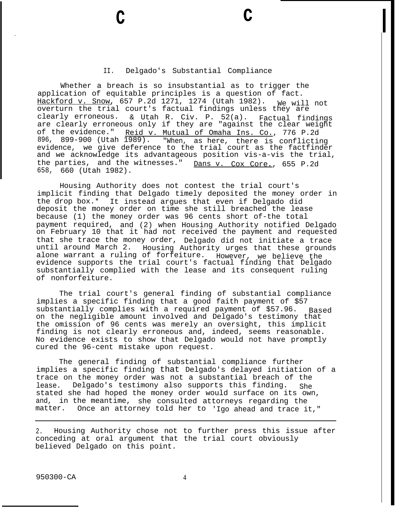## II. Delgado's Substantial Compliance

**c c**

Whether a breach is so insubstantial as to trigger the application of equitable principles is a question of fact. Hackford v. Snow, 657 P.2d 1271, 1274 (Utah 1982). We will not overturn the trial court's factual findings unless they are clearly erroneous. & Utah R. Civ. P. 52(a). Factual findings are clearly erroneous only if they are "against the clear weight of the evidence." <u>Reid v. Mutual of Omaha Ins. Co.</u>, 776 P.2d 896, 899-900 (Utah 1989). "When, as here, there is conflicting evidence, we give deference to the trial court as the factfinder and we acknowledge its advantageous position vis-a-vis the trial, the parties, and the witnesses." 658, 660 (Utah 1982). Dans v. Cox Core., 655 P.2d

Housing Authority does not contest the trial court's implicit finding that Delgado timely deposited the money order in the drop box.\* It instead argues that even if Delgado did deposit the money order on time she still breached the lease because (1) the money order was 96 cents short of-the total payment required, and (2) when Housing Authority notified Delgado on February 10 that it had not received the payment and requested that she trace the money order, Delgado did not initiate a trace until around March 2. Housing Authority urges that these grounds alone warrant a ruling of forfeiture. However, we believe the evidence supports the trial court's factual finding that Delgado substantially complied with the lease and its consequent ruling of nonforfeiture.

The trial court's general finding of substantial compliance implies a specific finding that a good faith payment of \$57 substantially complies with a required payment of \$57.96. Based on the negligible amount involved and Delgado's testimony that the omission of 96 cents was merely an oversight, this implicit finding is not clearly erroneous and, indeed, seems reasonable. No evidence exists to show that Delgado would not have promptly cured the 96-cent mistake upon request.

The general finding of substantial compliance further implies a specific finding that Delgado's delayed initiation of a trace on the money order was not a substantial breach of the lease. Delgado's testimony also supports this finding. She stated she had hoped the money order would surface on its own, and, in the meantime, she consulted attorneys regarding the matter. Once an attorney told her to 'Igo ahead and trace it,"

2. Housing Authority chose not to further press this issue after conceding at oral argument that the trial court obviously believed Delgado on this point.

950300-CA 4

.